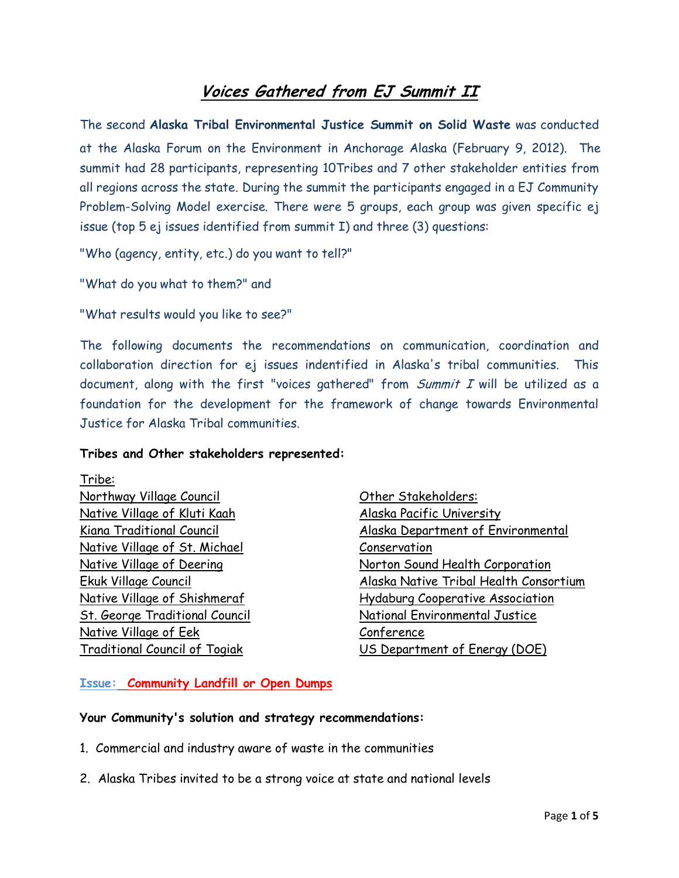# **Voices Gathered from EJ Summit II**

The second **Alaska Tribal Environmental Justice Summit on Solid Waste** was conducted at the Alaska Forum on the Environment in Anchorage Alaska (February 9, 2012). The summit had 28 participants, representing 10Tribes and 7 other stakeholder entities from all regions across the state. During the summit the participants engaged in a EJ Community Problem-Solving Model exercise. There were 5 groups, each group was given specific ej issue (top 5 ej issues identified from summit I) and three (3) questions:

"Who (agency, entity, etc.) do you want to tell?"

"What do you what to them?" and

"What results would you like to see?"

The following documents the recommendations on communication, coordination and collaboration direction for ej issues indentified in Alaska's tribal communities. This document, along with the first "voices gathered" from *Summit I* will be utilized as a foundation for the development for the framework of change towards Environmental Justice for Alaska Tribal communities.

#### **Tribes and Other stakeholders represented:**

Tribe: Northway Village Council Native Village of Kluti Kaah Kiana Traditional Council Native Village of St. Michael Native Village of Deering Ekuk Village Council Native Village of Shishmeraf St. George Traditional Council Native Village of Eek Traditional Council of Togiak

Other Stakeholders: Alaska Pacific University Alaska Department of Environmental Conservation Norton Sound Health Corporation Alaska Native Tribal Health Consortium Hydaburg Cooperative Association National Environmental Justice Conference US Department of Energy (DOE)

## **Issue: Community Landfill or Open Dumps**

## **Your Community's solution and strategy recommendations:**

- 1. Commercial and industry aware of waste in the communities
- 2. Alaska Tribes invited to be a strong voice at state and national levels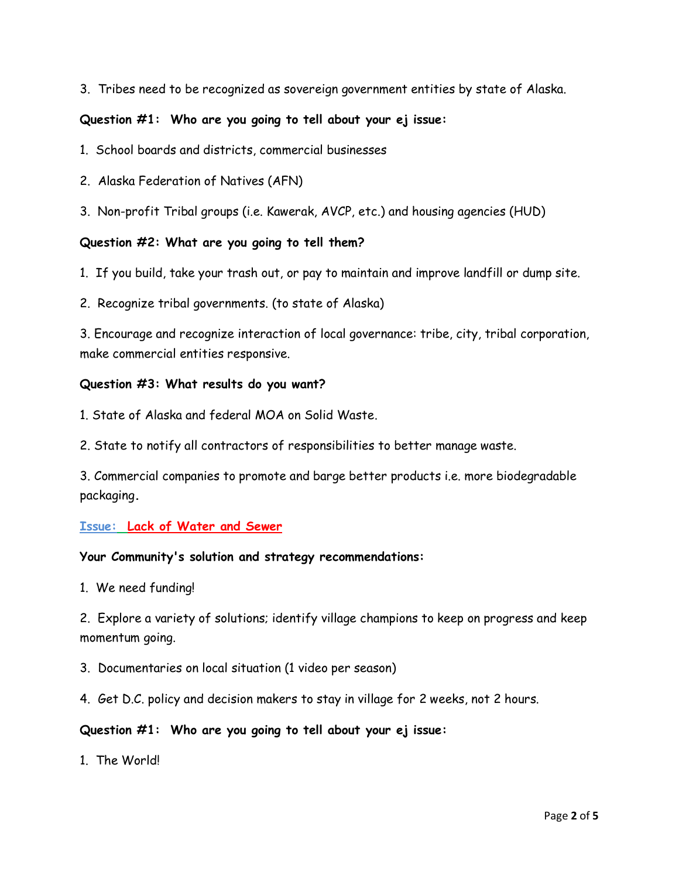3. Tribes need to be recognized as sovereign government entities by state of Alaska.

# **Question #1: Who are you going to tell about your ej issue:**

- 1. School boards and districts, commercial businesses
- 2. Alaska Federation of Natives (AFN)
- 3. Non-profit Tribal groups (i.e. Kawerak, AVCP, etc.) and housing agencies (HUD)

## **Question #2: What are you going to tell them?**

- 1. If you build, take your trash out, or pay to maintain and improve landfill or dump site.
- 2. Recognize tribal governments. (to state of Alaska)

3. Encourage and recognize interaction of local governance: tribe, city, tribal corporation, make commercial entities responsive.

## **Question #3: What results do you want?**

- 1. State of Alaska and federal MOA on Solid Waste.
- 2. State to notify all contractors of responsibilities to better manage waste.

3. Commercial companies to promote and barge better products i.e. more biodegradable packaging**.** 

## **Issue: Lack of Water and Sewer**

## **Your Community's solution and strategy recommendations:**

1. We need funding!

2. Explore a variety of solutions; identify village champions to keep on progress and keep momentum going.

- 3. Documentaries on local situation (1 video per season)
- 4. Get D.C. policy and decision makers to stay in village for 2 weeks, not 2 hours.

## **Question #1: Who are you going to tell about your ej issue:**

1. The World!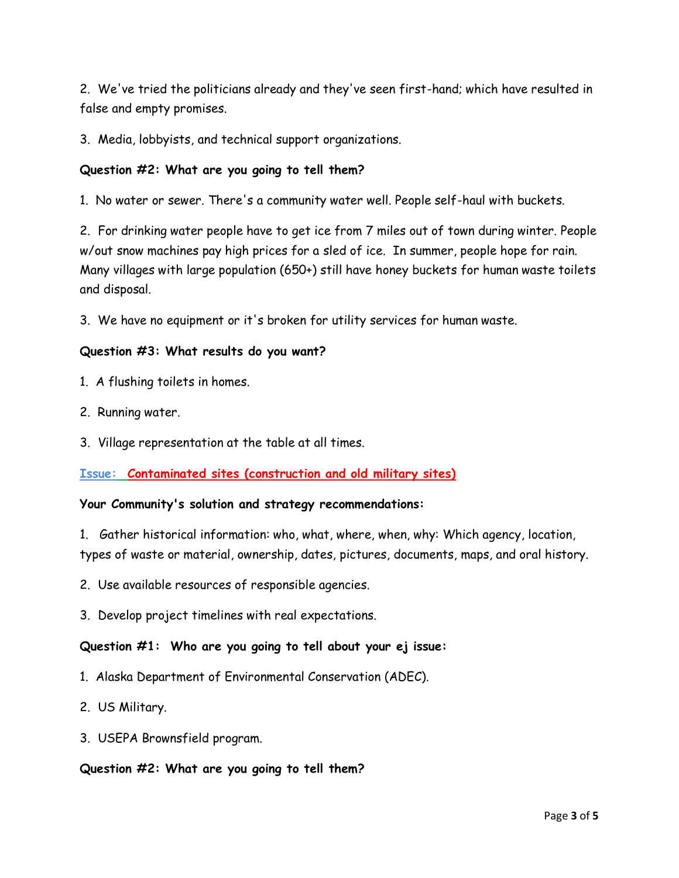2. We've tried the politicians already and they've seen first-hand; which have resulted in false and empty promises.

3. Media, lobbyists, and technical support organizations.

# **Question #2: What are you going to tell them?**

1. No water or sewer. There's a community water well. People self-haul with buckets.

2. For drinking water people have to get ice from 7 miles out of town during winter. People w/out snow machines pay high prices for a sled of ice. In summer, people hope for rain. Many villages with large population (650+) still have honey buckets for human waste toilets and disposal.

3. We have no equipment or it's broken for utility services for human waste.

# **Question #3: What results do you want?**

- 1. A flushing toilets in homes.
- 2. Running water.
- 3. Village representation at the table at all times.

# **Issue: Contaminated sites (construction and old military sites)**

## **Your Community's solution and strategy recommendations:**

1. Gather historical information: who, what, where, when, why: Which agency, location, types of waste or material, ownership, dates, pictures, documents, maps, and oral history.

- 2. Use available resources of responsible agencies.
- 3. Develop project timelines with real expectations.

## **Question #1: Who are you going to tell about your ej issue:**

- 1. Alaska Department of Environmental Conservation (ADEC).
- 2. US Military.
- 3. USEPA Brownsfield program.

## **Question #2: What are you going to tell them?**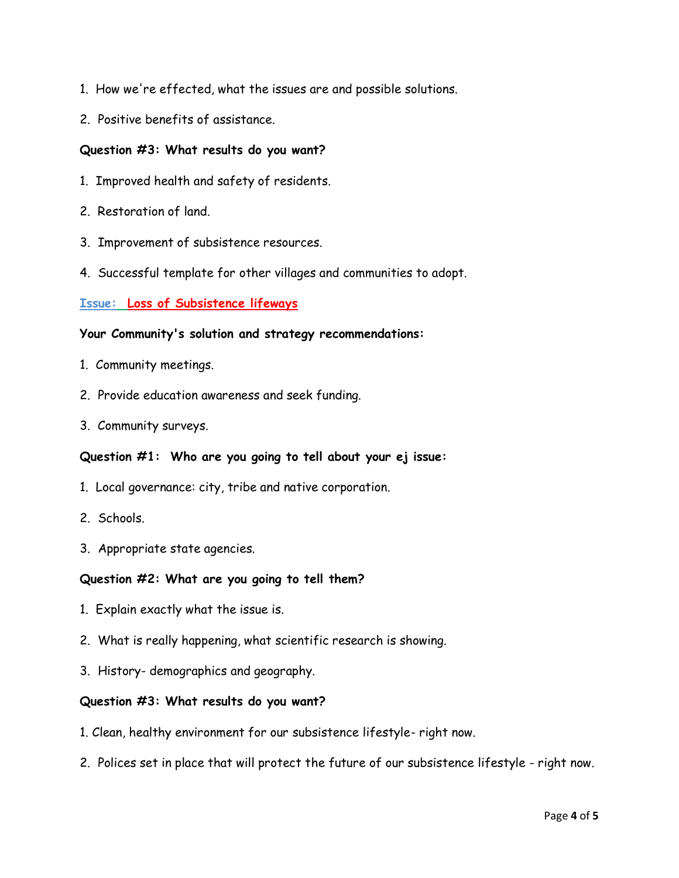- 1. How we're effected, what the issues are and possible solutions.
- 2. Positive benefits of assistance.

## **Question #3: What results do you want?**

- 1. Improved health and safety of residents.
- 2. Restoration of land.
- 3. Improvement of subsistence resources.
- 4. Successful template for other villages and communities to adopt.

#### **Issue: Loss of Subsistence lifeways**

#### **Your Community's solution and strategy recommendations:**

- 1. Community meetings.
- 2. Provide education awareness and seek funding.
- 3. Community surveys.

#### **Question #1: Who are you going to tell about your ej issue:**

- 1. Local governance: city, tribe and native corporation.
- 2. Schools.
- 3. Appropriate state agencies.

## **Question #2: What are you going to tell them?**

- 1. Explain exactly what the issue is.
- 2. What is really happening, what scientific research is showing.
- 3. History- demographics and geography.

#### **Question #3: What results do you want?**

- 1. Clean, healthy environment for our subsistence lifestyle- right now.
- 2. Polices set in place that will protect the future of our subsistence lifestyle right now.